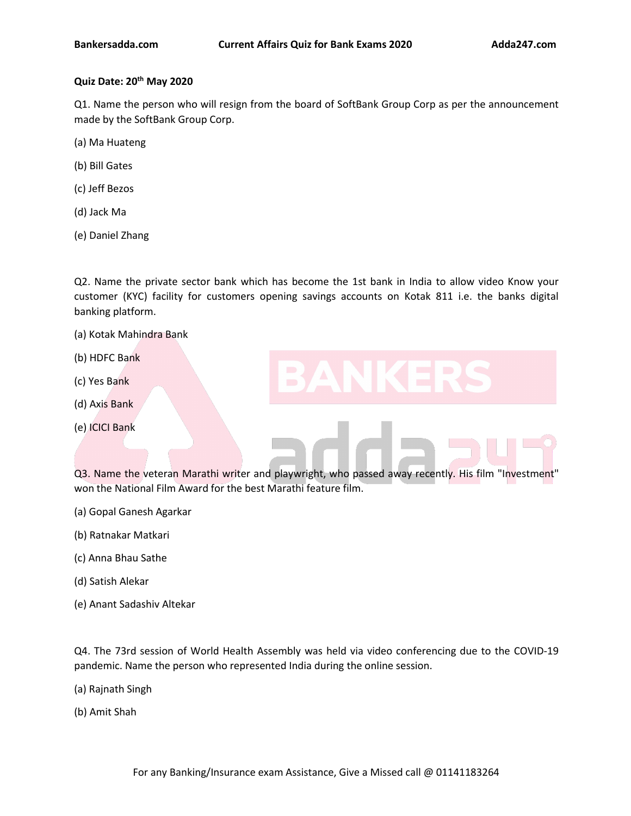# **Quiz Date: 20 th May 2020**

Q1. Name the person who will resign from the board of SoftBank Group Corp as per the announcement made by the SoftBank Group Corp.

(a) Ma Huateng

- (b) Bill Gates
- (c) Jeff Bezos
- (d) Jack Ma
- (e) Daniel Zhang

Q2. Name the private sector bank which has become the 1st bank in India to allow video Know your customer (KYC) facility for customers opening savings accounts on Kotak 811 i.e. the banks digital banking platform.

- (a) Kotak Mahindra Bank
- (b) HDFC Bank
- (c) Yes Bank
- (d) Axis Bank
- (e) ICICI Bank

Q3. Name the veteran Marathi writer and playwright, who passed away recently.His film "Investment" won the National Film Award for the best Marathi feature film.

- (a) Gopal Ganesh Agarkar
- (b) Ratnakar Matkari
- (c) Anna Bhau Sathe
- (d) Satish Alekar
- (e) Anant Sadashiv Altekar

Q4. The 73rd session of World Health [Assembly](https://www.adda247.com/product-onlineliveclasses/3936/bank-maha-pack-6-months) was held via video conferencing due to the COVID-19 pandemic. Name the person who represented India during the online session.

- (a) Rajnath Singh
- (b) Amit Shah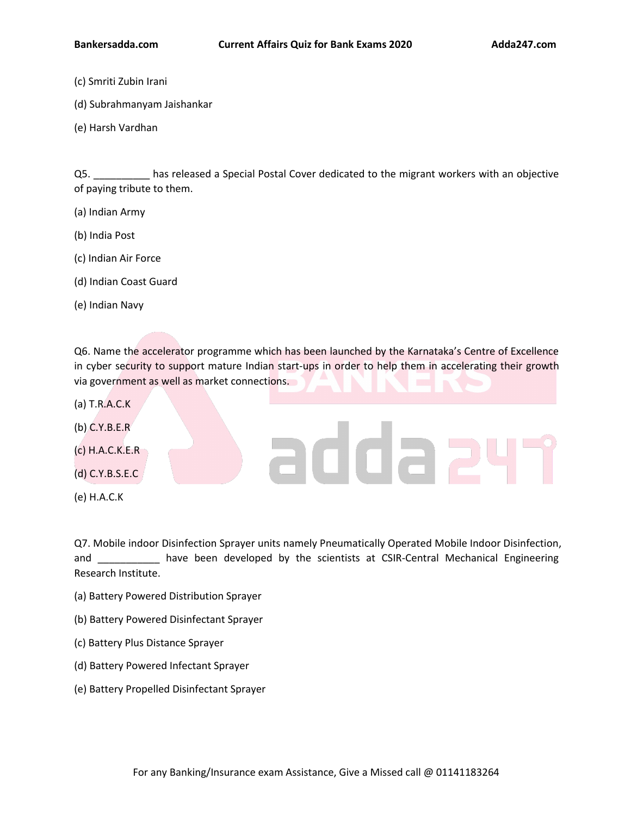- (c) Smriti Zubin Irani
- (d) Subrahmanyam Jaishankar
- (e) Harsh Vardhan

Q5. \_\_\_\_\_\_\_\_\_\_ has released a Special Postal Cover dedicated to the migrant workers with an objective of paying tribute to them.

- (a) Indian Army
- (b) India Post
- (c) Indian Air Force
- (d) Indian Coast Guard
- (e) Indian Navy

Q6. Name the accelerator programme which has been launched by the Karnataka's Centre of Excellence in cyber security to support mature Indian start-ups in order to help them in accelerating their growth via government as well as market connections.

addae

- (a) T.R.A.C.K
- (b) C.Y.B.E.R
- (c) H.A.C.K.E.R
- (d) C.Y.B.S.E.C
- (e) H.A.C.K

Q7. Mobile indoor Disinfection Sprayer units namely Pneumatically Operated Mobile Indoor Disinfection, and \_\_\_\_\_\_\_\_\_\_\_ have been developed by the [scientists](https://www.adda247.com/product-onlineliveclasses/3540/sbi-po-ka-maha-pack-online-live-classes-test-series-video-courses-ebooks-in-english-medium) at CSIR-Central Mechanical Engineering Research Institute.

- (a) Battery Powered Distribution Sprayer
- (b) Battery Powered Disinfectant Sprayer
- (c) Battery Plus Distance Sprayer
- (d) Battery Powered Infectant Sprayer
- (e) Battery Propelled Disinfectant Spray[er](https://www.adda247.com/product-onlineliveclasses/3936/bank-maha-pack-6-months)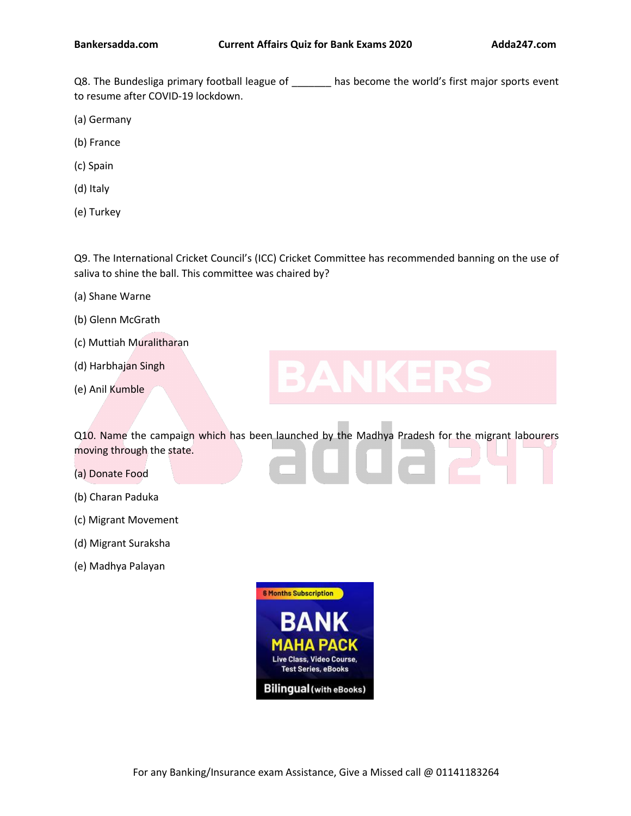Q8. The Bundesliga primary football league of \_\_\_\_\_\_\_ has become the world's first major sports event to resume after COVID-19 lockdown.

- (a) Germany
- (b) France
- (c) Spain
- (d) Italy
- (e) Turkey

Q9. The International Cricket Council's (ICC) Cricket Committee has recommended banning on the use of saliva to shine the ball. This committee was chaired by?

- (a) Shane Warne
- (b) Glenn McGrath
- (c) Muttiah Muralitharan
- (d) Harbhajan Singh
- (e) Anil Kumble

Q10. Name the campaign which has been launched by the Madhya Pradesh for the migrant labourers moving through the state.

- (a) Donate Food
- (b) Charan Paduka
- (c) Migrant Movement
- (d) Migrant Suraksha
- (e) Madhya Palayan

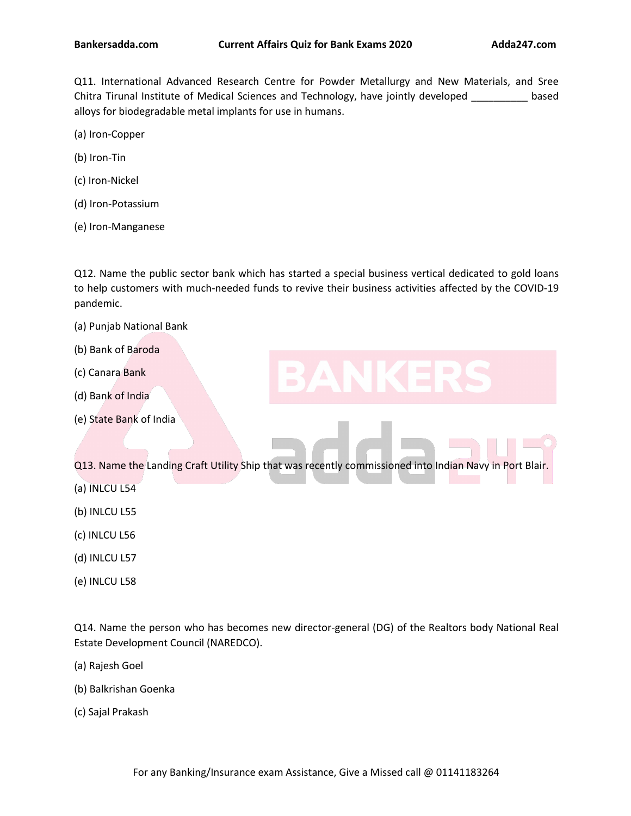Q11. International Advanced Research Centre for Powder Metallurgy and New Materials, and Sree Chitra Tirunal Institute of Medical Sciences and Technology, have jointly developed \_\_\_\_\_\_\_\_\_ based alloys for biodegradable metal implants for use in humans.(a) Iron-Copper

- 
- (b) Iron-Tin
- (c) Iron-Nickel
- (d) Iron-Potassium
- (e) Iron-Manganese

Q12. Name the public sector bank which has started a special business vertical dedicated to gold loans to help customers with much-needed funds to revive their business activities affected by the COVID-19 pandemic.

- (a) Punjab National Bank
- (b) Bank of Baroda
- (c) Canara Bank
- (d) Bank of India
- (e) State Bank of India

Q13. Name the Landing Craft Utility Ship that was recently commissioned into Indian Navy in Port Blair.

- (a) INLCU L54
- (b) INLCU L55
- (c) INLCU L56
- (d) INLCU L57
- (e) INLCU L58

Q14. Name the person who has becomes new [director-general](https://www.adda247.com/product-onlineliveclasses/3936/bank-maha-pack-6-months) (DG) of the Realtors body National Real Estate Development Council (NAREDCO).

- (a) Rajesh Goel
- (b) Balkrishan Goenka
- (c) Sajal Prakash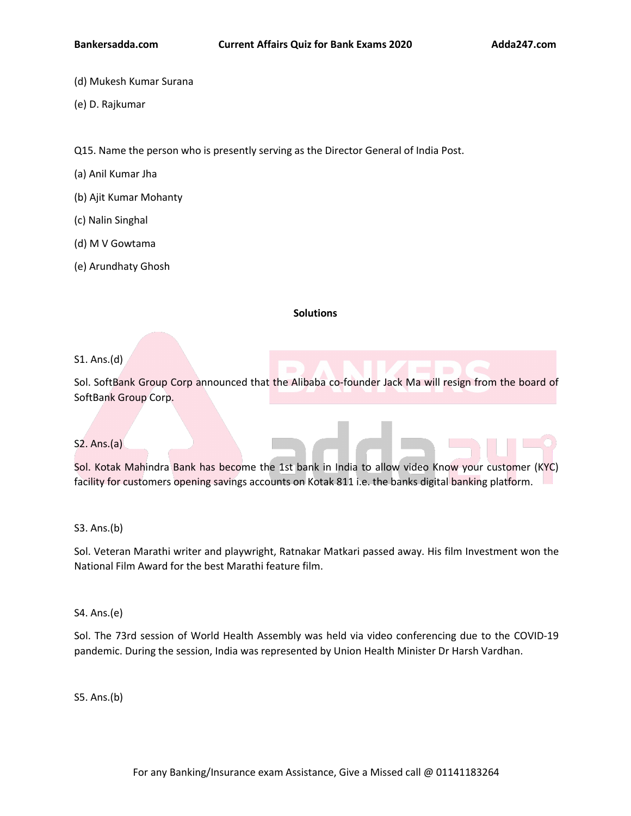- (d) Mukesh Kumar Surana
- (e) D. Rajkumar

Q15. Name the person who is presently serving as the Director General of India Post.

- (a) Anil Kumar Jha
- (b) Ajit Kumar Mohanty
- (c) Nalin Singhal
- (d) M V Gowtama
- (e) Arundhaty Ghosh

## **Solutions**

# S1. Ans.(d)

Sol. SoftBank Group Corp announced that the Alibaba co-founder Jack Ma will resign from the board of SoftBank Group Corp.

# S2. Ans.(a)

Sol. Kotak Mahindra Bank has become the 1st bank in India to allow video Know your customer (KYC) facility for customers opening savings accounts on Kotak 811 i.e. the banks digital banking platform.

## S3. Ans.(b)

Sol. Veteran Marathi writer and playwright, Ratnakar Matkari passed away. His film Investment won the National Film Award for the best Marathi feature film.

## S4. Ans.(e)

Sol. The 73rd session of World Health Assembly was held via video conferencing due to the COVID-19 pandemic. During the session, India was [represented](https://www.adda247.com/product-onlineliveclasses/3936/bank-maha-pack-6-months) by Union Health Minister Dr Harsh Vardhan.

S5. Ans.(b)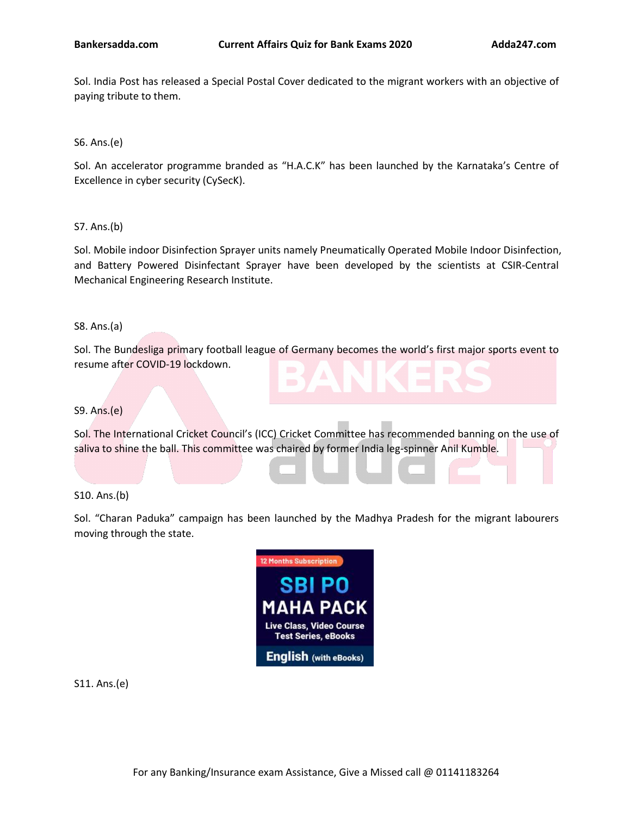Sol. India Post has released a Special Postal Cover dedicated to the migrant workers with an objective of paying tribute to them.

S6. Ans.(e)

Sol. An accelerator programme branded as "H.A.C.K" has been launched by the Karnataka's Centre of Excellence in cyber security (CySecK).

S7. Ans.(b)

Sol. Mobile indoor Disinfection Sprayer units namely Pneumatically Operated Mobile Indoor Disinfection, and Battery Powered Disinfectant Sprayer have been developed by the scientists at CSIR-Central Mechanical Engineering Research Institute.

S8. Ans.(a)

Sol. The Bundesliga primary football league of Germany becomes the world's first major sports event to resume after COVID-19 lockdown.

S9. Ans.(e)

Sol. The International Cricket Council's (ICC) Cricket Committee has recommended banning on the use of saliva to shine the ball. This committee was chaired by former India leg-spinner Anil Kumble.

S10. Ans.(b)

Sol. "Charan Paduka" campaign has been launched by the Madhya Pradesh for the migrant labourers moving through the state.



S11. Ans.(e)